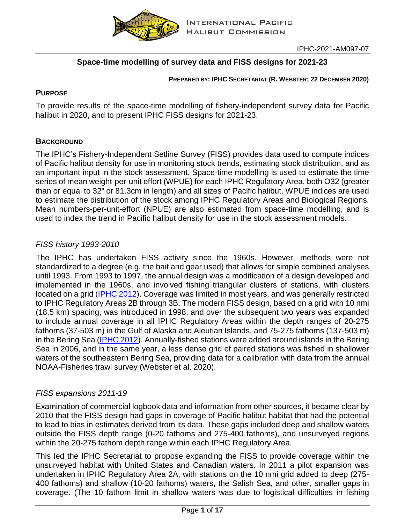

# **Space-time modelling of survey data and FISS designs for 2021-23**

#### **PREPARED BY: IPHC SECRETARIAT (R. WEBSTER; 22 DECEMBER 2020)**

### **PURPOSE**

To provide results of the space-time modelling of fishery-independent survey data for Pacific halibut in 2020, and to present IPHC FISS designs for 2021-23.

### **BACKGROUND**

The IPHC's Fishery-Independent Setline Survey (FISS) provides data used to compute indices of Pacific halibut density for use in monitoring stock trends, estimating stock distribution, and as an important input in the stock assessment. Space-time modelling is used to estimate the time series of mean weight-per-unit effort (WPUE) for each IPHC Regulatory Area, both O32 (greater than or equal to 32" or 81.3cm in length) and all sizes of Pacific halibut. WPUE indices are used to estimate the distribution of the stock among IPHC Regulatory Areas and Biological Regions. Mean numbers-per-unit-effort (NPUE) are also estimated from space-time modelling, and is used to index the trend in Pacific halibut density for use in the stock assessment models.

### *FISS history 1993-2010*

The IPHC has undertaken FISS activity since the 1960s. However, methods were not standardized to a degree (e.g. the bait and gear used) that allows for simple combined analyses until 1993. From 1993 to 1997, the annual design was a modification of a design developed and implemented in the 1960s, and involved fishing triangular clusters of stations, with clusters located on a grid [\(IPHC](https://www.iphc.int/uploads/pdf/tr/IPHC-2012-TR058.pdf) 2012). Coverage was limited in most years, and was generally restricted to IPHC Regulatory Areas 2B through 3B. The modern FISS design, based on a grid with 10 nmi (18.5 km) spacing, was introduced in 1998, and over the subsequent two years was expanded to include annual coverage in all IPHC Regulatory Areas within the depth ranges of 20-275 fathoms (37-503 m) in the Gulf of Alaska and Aleutian Islands, and 75-275 fathoms (137-503 m) in the Bering Sea [\(IPHC](https://www.iphc.int/uploads/pdf/tr/IPHC-2012-TR058.pdf) 2012). Annually-fished stations were added around islands in the Bering Sea in 2006, and in the same year, a less dense grid of paired stations was fished in shallower waters of the southeastern Bering Sea, providing data for a calibration with data from the annual NOAA-Fisheries trawl survey (Webster et al. 2020).

### *FISS expansions 2011-19*

Examination of commercial logbook data and information from other sources, it became clear by 2010 that the FISS design had gaps in coverage of Pacific halibut habitat that had the potential to lead to bias in estimates derived from its data. These gaps included deep and shallow waters outside the FISS depth range (0-20 fathoms and 275-400 fathoms), and unsurveyed regions within the 20-275 fathom depth range within each IPHC Regulatory Area.

This led the IPHC Secretariat to propose expanding the FISS to provide coverage within the unsurveyed habitat with United States and Canadian waters. In 2011 a pilot expansion was undertaken in IPHC Regulatory Area 2A, with stations on the 10 nmi grid added to deep (275- 400 fathoms) and shallow (10-20 fathoms) waters, the Salish Sea, and other, smaller gaps in coverage. (The 10 fathom limit in shallow waters was due to logistical difficulties in fishing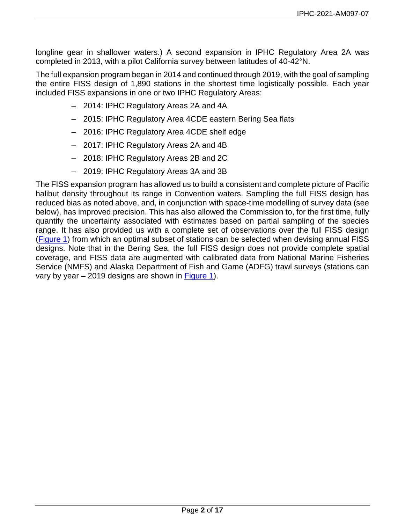longline gear in shallower waters.) A second expansion in IPHC Regulatory Area 2A was completed in 2013, with a pilot California survey between latitudes of 40-42°N.

The full expansion program began in 2014 and continued through 2019, with the goal of sampling the entire FISS design of 1,890 stations in the shortest time logistically possible. Each year included FISS expansions in one or two IPHC Regulatory Areas:

- 2014: IPHC Regulatory Areas 2A and 4A
- 2015: IPHC Regulatory Area 4CDE eastern Bering Sea flats
- 2016: IPHC Regulatory Area 4CDE shelf edge
- 2017: IPHC Regulatory Areas 2A and 4B
- 2018: IPHC Regulatory Areas 2B and 2C
- 2019: IPHC Regulatory Areas 3A and 3B

The FISS expansion program has allowed us to build a consistent and complete picture of Pacific halibut density throughout its range in Convention waters. Sampling the full FISS design has reduced bias as noted above, and, in conjunction with space-time modelling of survey data (see below), has improved precision. This has also allowed the Commission to, for the first time, fully quantify the uncertainty associated with estimates based on partial sampling of the species range. It has also provided us with a complete set of observations over the full FISS design (Figure 1) from which an optimal subset of stations can be selected when devising annual FISS designs. Note that in the Bering Sea, the full FISS design does not provide complete spatial coverage, and FISS data are augmented with calibrated data from National Marine Fisheries Service (NMFS) and Alaska Department of Fish and Game (ADFG) trawl surveys (stations can vary by year – 2019 designs are shown in Figure 1).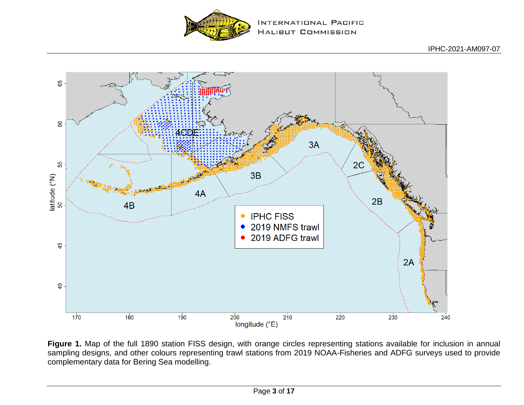

INTERNATIONAL PACIFIC **HALIBUT COMMISSION** 



Figure 1. Map of the full 1890 station FISS design, with orange circles representing stations available for inclusion in annual sampling designs, and other colours representing trawl stations from 2019 NOAA-Fisheries and ADFG surveys used to provide complementary data for Bering Sea modelling.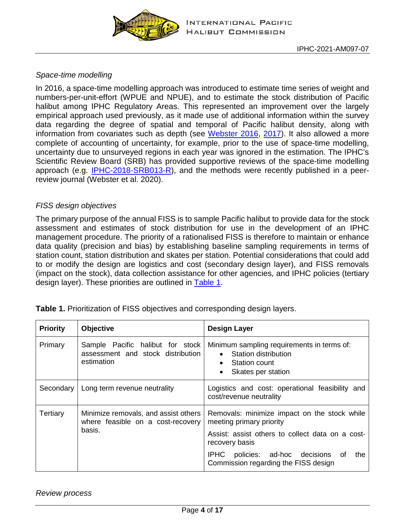

## *Space-time modelling*

In 2016, a space-time modelling approach was introduced to estimate time series of weight and numbers-per-unit-effort (WPUE and NPUE), and to estimate the stock distribution of Pacific halibut among IPHC Regulatory Areas. This represented an improvement over the largely empirical approach used previously, as it made use of additional information within the survey data regarding the degree of spatial and temporal of Pacific halibut density, along with information from covariates such as depth (see [Webster 2016,](https://www.iphc.int/uploads/pdf/rara/iphc-2015-rara25.pdf) [2017\)](https://www.iphc.int/uploads/pdf/rara/iphc-2016-rara26.pdf). It also allowed a more complete of accounting of uncertainty, for example, prior to the use of space-time modelling, uncertainty due to unsurveyed regions in each year was ignored in the estimation. The IPHC's Scientific Review Board (SRB) has provided supportive reviews of the space-time modelling approach (e.g. [IPHC-2018-SRB013-R\)](https://www.iphc.int/uploads/pdf/srb/srb013/iphc-2018-srb013-r.pdf), and the methods were recently published in a peerreview journal (Webster et al. 2020).

### *FISS design objectives*

The primary purpose of the annual FISS is to sample Pacific halibut to provide data for the stock assessment and estimates of stock distribution for use in the development of an IPHC management procedure. The priority of a rationalised FISS is therefore to maintain or enhance data quality (precision and bias) by establishing baseline sampling requirements in terms of station count, station distribution and skates per station. Potential considerations that could add to or modify the design are logistics and cost (secondary design layer), and FISS removals (impact on the stock), data collection assistance for other agencies, and IPHC policies (tertiary design layer). These priorities are outlined in [Table 1.](#page-3-0)

| <b>Priority</b>                                                                                 | <b>Objective</b>                                                                    | <b>Design Layer</b>                                                                                                                              |  |
|-------------------------------------------------------------------------------------------------|-------------------------------------------------------------------------------------|--------------------------------------------------------------------------------------------------------------------------------------------------|--|
| Primary                                                                                         | Sample Pacific halibut for stock<br>assessment and stock distribution<br>estimation | Minimum sampling requirements in terms of:<br>Station distribution<br>$\bullet$<br>Station count<br>$\bullet$<br>Skates per station<br>$\bullet$ |  |
| Secondary                                                                                       | Long term revenue neutrality                                                        | Logistics and cost: operational feasibility and<br>cost/revenue neutrality                                                                       |  |
| Tertiary<br>Minimize removals, and assist others<br>where feasible on a cost-recovery<br>basis. |                                                                                     | Removals: minimize impact on the stock while<br>meeting primary priority<br>Assist: assist others to collect data on a cost-<br>recovery basis   |  |
|                                                                                                 |                                                                                     | IPHC policies: ad-hoc decisions of<br>the<br>Commission regarding the FISS design                                                                |  |

<span id="page-3-0"></span>**Table 1.** Prioritization of FISS objectives and corresponding design layers.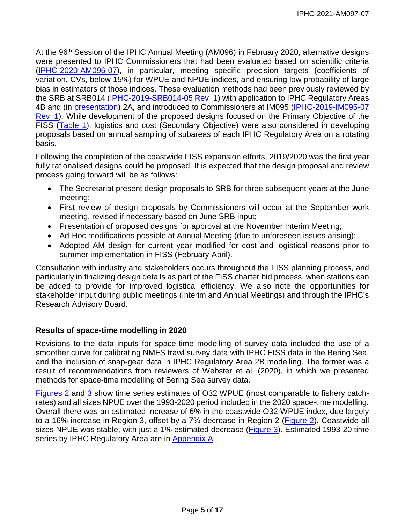At the 96<sup>th</sup> Session of the IPHC Annual Meeting (AM096) in February 2020, alternative designs were presented to IPHC Commissioners that had been evaluated based on scientific criteria [\(IPHC-2020-AM096-07\)](https://www.iphc.int/uploads/pdf/am/2020am/iphc-2020-am096-07.pdf), in particular, meeting specific precision targets (coefficients of variation, CVs, below 15%) for WPUE and NPUE indices, and ensuring low probability of large bias in estimators of those indices. These evaluation methods had been previously reviewed by the SRB at SRB014 [\(IPHC-2019-SRB014-05](https://www.iphc.int/uploads/pdf/srb/srb014/iphc-2019-srb014-05.pdf) Rev\_1) with application to IPHC Regulatory Areas 4B and (in [presentation\)](https://www.iphc.int/uploads/pdf/srb/srb014/ppt/iphc-2019-srb014-05-p.pdf) 2A, and introduced to Commissioners at IM095 [\(IPHC-2019-IM095-07](https://www.iphc.int/uploads/pdf/im/im095/iphc-2019-im095-07.pdf) Rev\_1). While development of the proposed designs focused on the Primary Objective of the FISS [\(Table 1\)](#page-3-0), logistics and cost (Secondary Objective) were also considered in developing proposals based on annual sampling of subareas of each IPHC Regulatory Area on a rotating basis.

Following the completion of the coastwide FISS expansion efforts, 2019/2020 was the first year fully rationalised designs could be proposed. It is expected that the design proposal and review process going forward will be as follows:

- The Secretariat present design proposals to SRB for three subsequent years at the June meeting;
- First review of design proposals by Commissioners will occur at the September work meeting, revised if necessary based on June SRB input;
- Presentation of proposed designs for approval at the November Interim Meeting;
- Ad-Hoc modifications possible at Annual Meeting (due to unforeseen issues arising);
- Adopted AM design for current year modified for cost and logistical reasons prior to summer implementation in FISS (February-April).

Consultation with industry and stakeholders occurs throughout the FISS planning process, and particularly in finalizing design details as part of the FISS charter bid process, when stations can be added to provide for improved logistical efficiency. We also note the opportunities for stakeholder input during public meetings (Interim and Annual Meetings) and through the IPHC's Research Advisory Board.

# **Results of space-time modelling in 2020**

Revisions to the data inputs for space-time modelling of survey data included the use of a smoother curve for calibrating NMFS trawl survey data with IPHC FISS data in the Bering Sea, and the inclusion of snap-gear data in IPHC Regulatory Area 2B modelling. The former was a result of recommendations from reviewers of Webster et al. (2020), in which we presented methods for space-time modelling of Bering Sea survey data.

[Figures 2](#page-5-0) and [3](#page-6-0) show time series estimates of O32 WPUE (most comparable to fishery catchrates) and all sizes NPUE over the 1993-2020 period included in the 2020 space-time modelling. Overall there was an estimated increase of 6% in the coastwide O32 WPUE index, due largely to a 16% increase in Region 3, offset by a 7% decrease in Region 2 [\(Figure 2\)](#page-5-0). Coastwide all sizes NPUE was stable, with just a 1% estimated decrease [\(Figure 3\)](#page-6-0). Estimated 1993-20 time series by IPHC Regulatory Area are in [Appendix A.](#page-15-0)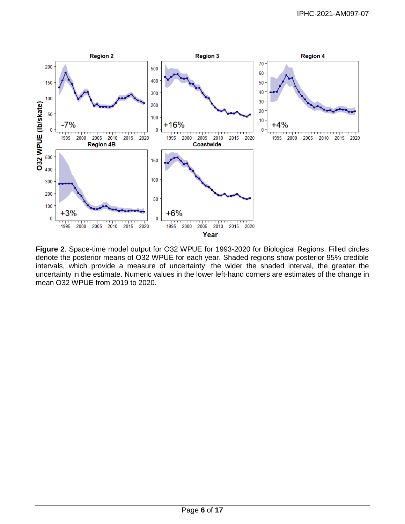<span id="page-5-0"></span>

**Figure 2**. Space-time model output for O32 WPUE for 1993-2020 for Biological Regions. Filled circles denote the posterior means of O32 WPUE for each year. Shaded regions show posterior 95% credible intervals, which provide a measure of uncertainty: the wider the shaded interval, the greater the uncertainty in the estimate. Numeric values in the lower left-hand corners are estimates of the change in mean O32 WPUE from 2019 to 2020.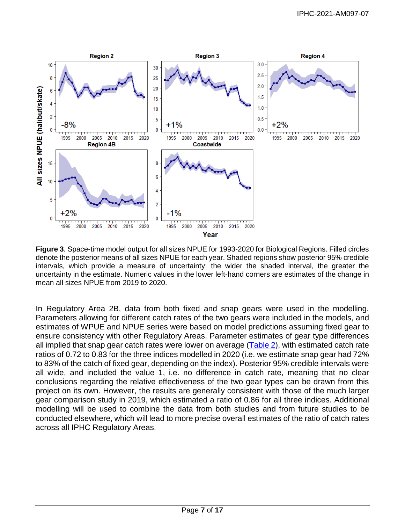<span id="page-6-0"></span>

**Figure 3**. Space-time model output for all sizes NPUE for 1993-2020 for Biological Regions. Filled circles denote the posterior means of all sizes NPUE for each year. Shaded regions show posterior 95% credible intervals, which provide a measure of uncertainty: the wider the shaded interval, the greater the uncertainty in the estimate. Numeric values in the lower left-hand corners are estimates of the change in mean all sizes NPUE from 2019 to 2020.

In Regulatory Area 2B, data from both fixed and snap gears were used in the modelling. Parameters allowing for different catch rates of the two gears were included in the models, and estimates of WPUE and NPUE series were based on model predictions assuming fixed gear to ensure consistency with other Regulatory Areas. Parameter estimates of gear type differences all implied that snap gear catch rates were lower on average  $(Table 2)$  $(Table 2)$ , with estimated catch rate ratios of 0.72 to 0.83 for the three indices modelled in 2020 (i.e. we estimate snap gear had 72% to 83% of the catch of fixed gear, depending on the index). Posterior 95% credible intervals were all wide, and included the value 1, i.e. no difference in catch rate, meaning that no clear conclusions regarding the relative effectiveness of the two gear types can be drawn from this project on its own. However, the results are generally consistent with those of the much larger gear comparison study in 2019, which estimated a ratio of 0.86 for all three indices. Additional modelling will be used to combine the data from both studies and from future studies to be conducted elsewhere, which will lead to more precise overall estimates of the ratio of catch rates across all IPHC Regulatory Areas.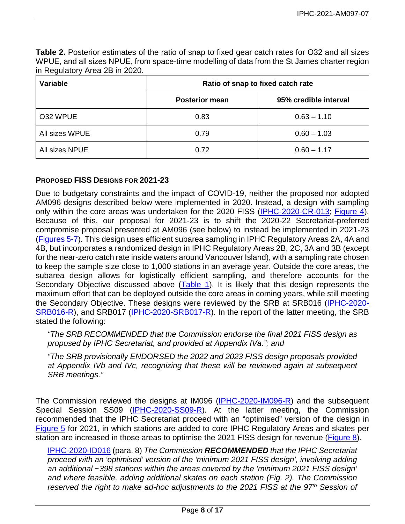<span id="page-7-0"></span>**Table 2.** Posterior estimates of the ratio of snap to fixed gear catch rates for O32 and all sizes WPUE, and all sizes NPUE, from space-time modelling of data from the St James charter region in Regulatory Area 2B in 2020.

| Variable       | Ratio of snap to fixed catch rate |                       |
|----------------|-----------------------------------|-----------------------|
|                | <b>Posterior mean</b>             | 95% credible interval |
| O32 WPUE       | 0.83                              | $0.63 - 1.10$         |
| All sizes WPUE | 0.79                              | $0.60 - 1.03$         |
| All sizes NPUE | 0.72                              | $0.60 - 1.17$         |

### **PROPOSED FISS DESIGNS FOR 2021-23**

Due to budgetary constraints and the impact of COVID-19, neither the proposed nor adopted AM096 designs described below were implemented in 2020. Instead, a design with sampling only within the core areas was undertaken for the 2020 FISS [\(IPHC-2020-CR-013;](https://www.iphc.int/uploads/pdf/cir/2020/iphc-2020-cr-013.pdf) [Figure 4\)](#page-9-0). Because of this, our proposal for 2021-23 is to shift the 2020-22 Secretariat-preferred compromise proposal presented at AM096 (see below) to instead be implemented in 2021-23 [\(Figures 5-7\)](#page-10-0). This design uses efficient subarea sampling in IPHC Regulatory Areas 2A, 4A and 4B, but incorporates a randomized design in IPHC Regulatory Areas 2B, 2C, 3A and 3B (except for the near-zero catch rate inside waters around Vancouver Island), with a sampling rate chosen to keep the sample size close to 1,000 stations in an average year. Outside the core areas, the subarea design allows for logistically efficient sampling, and therefore accounts for the Secondary Objective discussed above [\(Table 1\)](#page-3-0). It is likely that this design represents the maximum effort that can be deployed outside the core areas in coming years, while still meeting the Secondary Objective. These designs were reviewed by the SRB at SRB016 [\(IPHC-2020-](https://www.iphc.int/uploads/pdf/srb/srb016/iphc-2020-srb016-r.pdf) [SRB016-R\)](https://www.iphc.int/uploads/pdf/srb/srb016/iphc-2020-srb016-r.pdf), and SRB017 [\(IPHC-2020-SRB017-R\)](https://www.iphc.int/uploads/pdf/srb/srb017/iphc-2020-srb017-r.pdf). In the report of the latter meeting, the SRB stated the following:

*"The SRB RECOMMENDED that the Commission endorse the final 2021 FISS design as proposed by IPHC Secretariat, and provided at Appendix IVa."; and*

*"The SRB provisionally ENDORSED the 2022 and 2023 FISS design proposals provided at Appendix IVb and IVc, recognizing that these will be reviewed again at subsequent SRB meetings."*

The Commission reviewed the designs at IM096 [\(IPHC-2020-IM096-R\)](https://www.iphc.int/uploads/pdf/im/im096/iphc-2020-im096-r.pdf) and the subsequent Special Session SS09 [\(IPHC-2020-SS09-R\)](https://www.iphc.int/uploads/pdf/sps/ss09/iphc-2020-ss09-r.pdf). At the latter meeting, the Commission recommended that the IPHC Secretariat proceed with an "optimised" version of the design in [Figure 5](#page-10-0) for 2021, in which stations are added to core IPHC Regulatory Areas and skates per station are increased in those areas to optimise the 2021 FISS design for revenue [\(Figure 8\)](#page-13-0).

[IPHC-2020-ID016](https://www.iphc.int/library/documents/post/iphc-2020-ss09-r-report-of-the-9th-special-session-of-the-iphc-ss09) (para. 8) *The Commission RECOMMENDED that the IPHC Secretariat proceed with an 'optimised' version of the 'minimum 2021 FISS design', involving adding an additional ~398 stations within the areas covered by the 'minimum 2021 FISS design' and where feasible, adding additional skates on each station (Fig. 2). The Commission reserved the right to make ad-hoc adjustments to the 2021 FISS at the 97th Session of*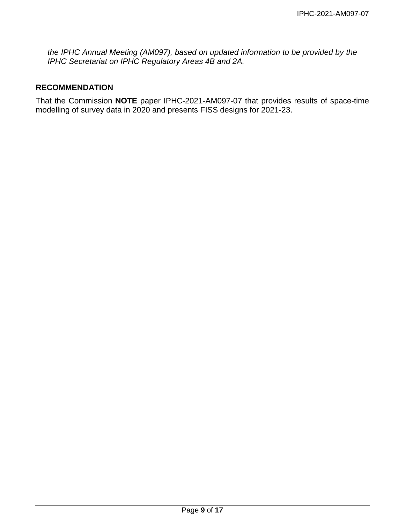*the IPHC Annual Meeting (AM097), based on updated information to be provided by the IPHC Secretariat on IPHC Regulatory Areas 4B and 2A.*

### **RECOMMENDATION**

That the Commission **NOTE** paper IPHC-2021-AM097-07 that provides results of space-time modelling of survey data in 2020 and presents FISS designs for 2021-23.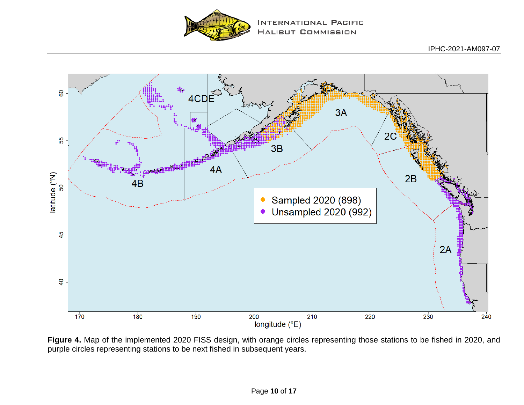

<span id="page-9-0"></span>

**Figure 4.** Map of the implemented 2020 FISS design, with orange circles representing those stations to be fished in 2020, and purple circles representing stations to be next fished in subsequent years.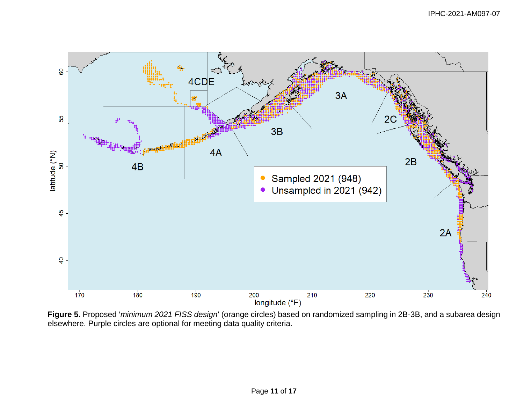<span id="page-10-0"></span>

**Figure 5.** Proposed '*minimum 2021 FISS design*' (orange circles) based on randomized sampling in 2B-3B, and a subarea design elsewhere. Purple circles are optional for meeting data quality criteria.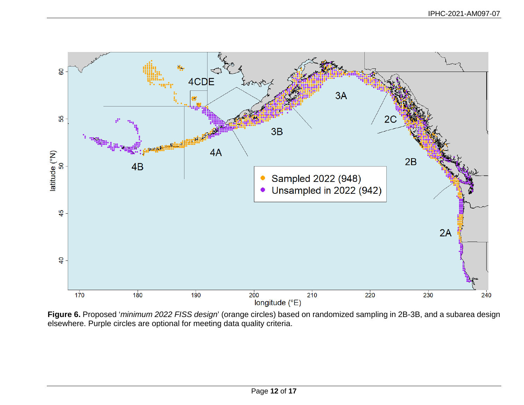

**Figure 6.** Proposed '*minimum 2022 FISS design*' (orange circles) based on randomized sampling in 2B-3B, and a subarea design elsewhere. Purple circles are optional for meeting data quality criteria.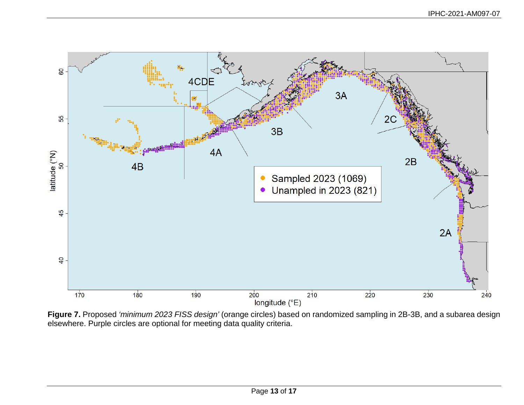

**Figure 7.** Proposed *'minimum 2023 FISS design'* (orange circles) based on randomized sampling in 2B-3B, and a subarea design elsewhere. Purple circles are optional for meeting data quality criteria.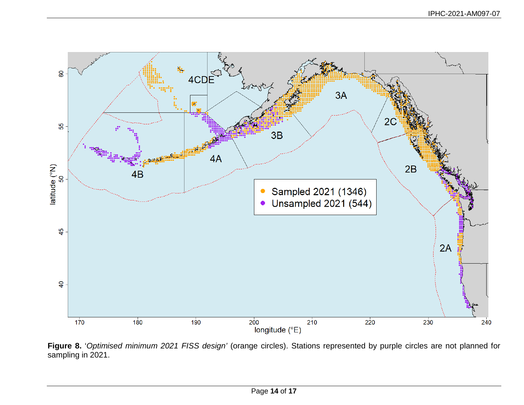<span id="page-13-0"></span>

**Figure 8.** '*Optimised minimum 2021 FISS design'* (orange circles). Stations represented by purple circles are not planned for sampling in 2021.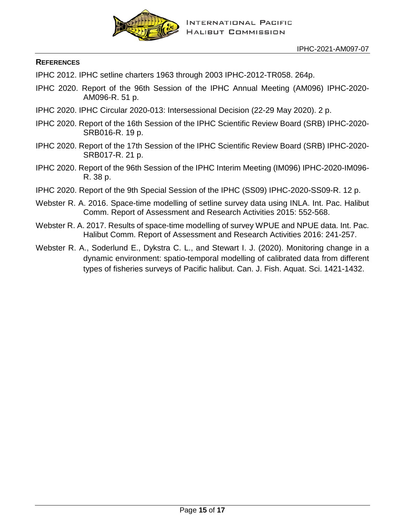

### **REFERENCES**

IPHC 2012. IPHC setline charters 1963 through 2003 IPHC-2012-TR058. 264p.

- IPHC 2020. Report of the 96th Session of the IPHC Annual Meeting (AM096) IPHC-2020- AM096-R. 51 p.
- IPHC 2020. IPHC Circular 2020-013: Intersessional Decision (22-29 May 2020). 2 p.
- IPHC 2020. Report of the 16th Session of the IPHC Scientific Review Board (SRB) IPHC-2020- SRB016-R. 19 p.
- IPHC 2020. Report of the 17th Session of the IPHC Scientific Review Board (SRB) IPHC-2020- SRB017-R. 21 p.
- IPHC 2020. Report of the 96th Session of the IPHC Interim Meeting (IM096) IPHC-2020-IM096- R. 38 p.
- IPHC 2020. Report of the 9th Special Session of the IPHC (SS09) IPHC-2020-SS09-R. 12 p.
- Webster R. A. 2016. Space-time modelling of setline survey data using INLA. Int. Pac. Halibut Comm. Report of Assessment and Research Activities 2015: 552-568.
- Webster R. A. 2017. Results of space-time modelling of survey WPUE and NPUE data. Int. Pac. Halibut Comm. Report of Assessment and Research Activities 2016: 241-257.
- Webster R. A., Soderlund E., Dykstra C. L., and Stewart I. J. (2020). Monitoring change in a dynamic environment: spatio-temporal modelling of calibrated data from different types of fisheries surveys of Pacific halibut. Can. J. Fish. Aquat. Sci. 1421-1432.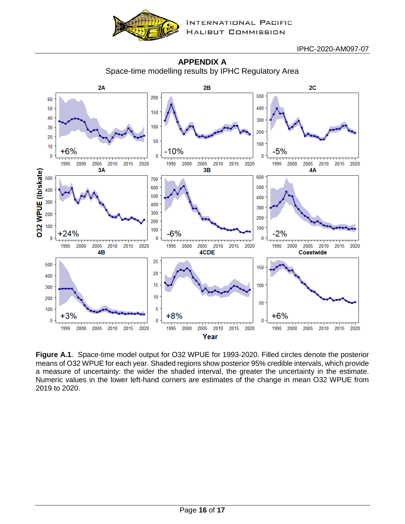

IPHC-2020-AM097-07

<span id="page-15-0"></span>

**APPENDIX A** Space-time modelling results by IPHC Regulatory Area

**Figure A.1**. Space-time model output for O32 WPUE for 1993-2020. Filled circles denote the posterior means of O32 WPUE for each year. Shaded regions show posterior 95% credible intervals, which provide a measure of uncertainty: the wider the shaded interval, the greater the uncertainty in the estimate. Numeric values in the lower left-hand corners are estimates of the change in mean O32 WPUE from 2019 to 2020.